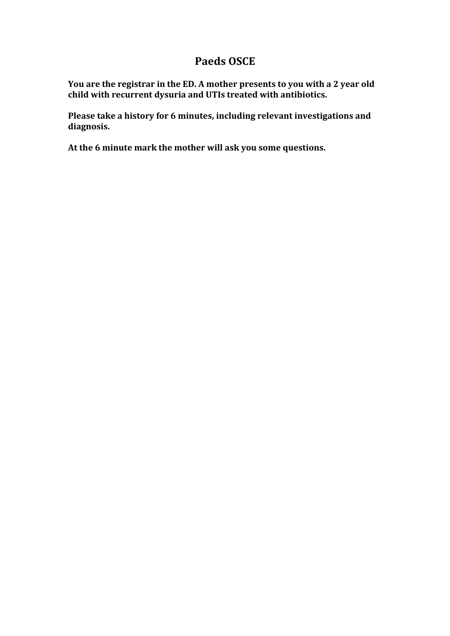## **Paeds OSCE**

**You are the registrar in the ED. A mother presents to you with a 2 year old child with recurrent dysuria and UTIs treated with antibiotics.** 

**Please take a history for 6 minutes, including relevant investigations and diagnosis.**

**At the 6 minute mark the mother will ask you some questions.**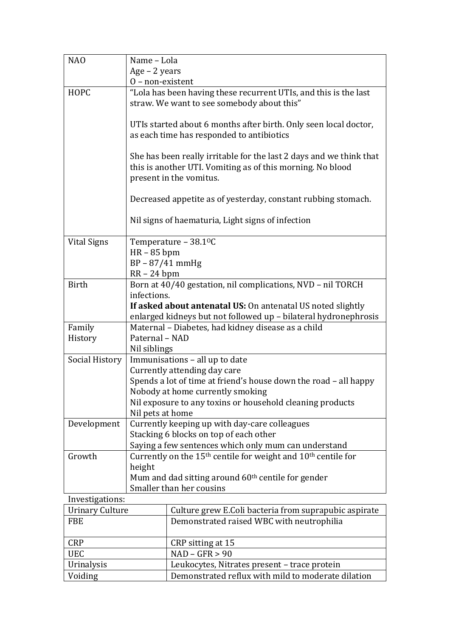| NA <sub>O</sub>        | Name - Lola                                                                                                                                                  |  |
|------------------------|--------------------------------------------------------------------------------------------------------------------------------------------------------------|--|
|                        | Age - 2 years                                                                                                                                                |  |
|                        | $0$ – non-existent                                                                                                                                           |  |
| <b>HOPC</b>            | "Lola has been having these recurrent UTIs, and this is the last<br>straw. We want to see somebody about this"                                               |  |
|                        |                                                                                                                                                              |  |
|                        | UTIs started about 6 months after birth. Only seen local doctor,<br>as each time has responded to antibiotics                                                |  |
|                        | She has been really irritable for the last 2 days and we think that<br>this is another UTI. Vomiting as of this morning. No blood<br>present in the vomitus. |  |
|                        | Decreased appetite as of yesterday, constant rubbing stomach.                                                                                                |  |
|                        | Nil signs of haematuria, Light signs of infection                                                                                                            |  |
| <b>Vital Signs</b>     | Temperature - 38.1 <sup>o</sup> C                                                                                                                            |  |
|                        | $HR - 85$ bpm                                                                                                                                                |  |
|                        | $BP - 87/41$ mmHg                                                                                                                                            |  |
|                        | $RR - 24$ bpm                                                                                                                                                |  |
| <b>Birth</b>           | Born at 40/40 gestation, nil complications, NVD - nil TORCH<br>infections.                                                                                   |  |
|                        | If asked about antenatal US: On antenatal US noted slightly                                                                                                  |  |
|                        | enlarged kidneys but not followed up - bilateral hydronephrosis                                                                                              |  |
| Family                 | Maternal - Diabetes, had kidney disease as a child                                                                                                           |  |
| History                | Paternal - NAD                                                                                                                                               |  |
|                        | Nil siblings                                                                                                                                                 |  |
| Social History         | Immunisations - all up to date                                                                                                                               |  |
|                        | Currently attending day care                                                                                                                                 |  |
|                        | Spends a lot of time at friend's house down the road - all happy                                                                                             |  |
|                        | Nobody at home currently smoking                                                                                                                             |  |
|                        | Nil exposure to any toxins or household cleaning products                                                                                                    |  |
| Development            | Nil pets at home<br>Currently keeping up with day-care colleagues                                                                                            |  |
|                        | Stacking 6 blocks on top of each other                                                                                                                       |  |
|                        | Saying a few sentences which only mum can understand                                                                                                         |  |
| Growth                 | Currently on the 15 <sup>th</sup> centile for weight and 10 <sup>th</sup> centile for                                                                        |  |
|                        | height                                                                                                                                                       |  |
|                        | Mum and dad sitting around 60 <sup>th</sup> centile for gender                                                                                               |  |
|                        | Smaller than her cousins                                                                                                                                     |  |
| Investigations:        |                                                                                                                                                              |  |
| <b>Urinary Culture</b> | Culture grew E.Coli bacteria from suprapubic aspirate                                                                                                        |  |
| <b>FBE</b>             | Demonstrated raised WBC with neutrophilia                                                                                                                    |  |
| <b>CRP</b>             | CRP sitting at 15                                                                                                                                            |  |
| <b>UEC</b>             | $NAD - GFR > 90$                                                                                                                                             |  |
| Urinalysis             | Leukocytes, Nitrates present - trace protein                                                                                                                 |  |
| Voiding                | Demonstrated reflux with mild to moderate dilation                                                                                                           |  |